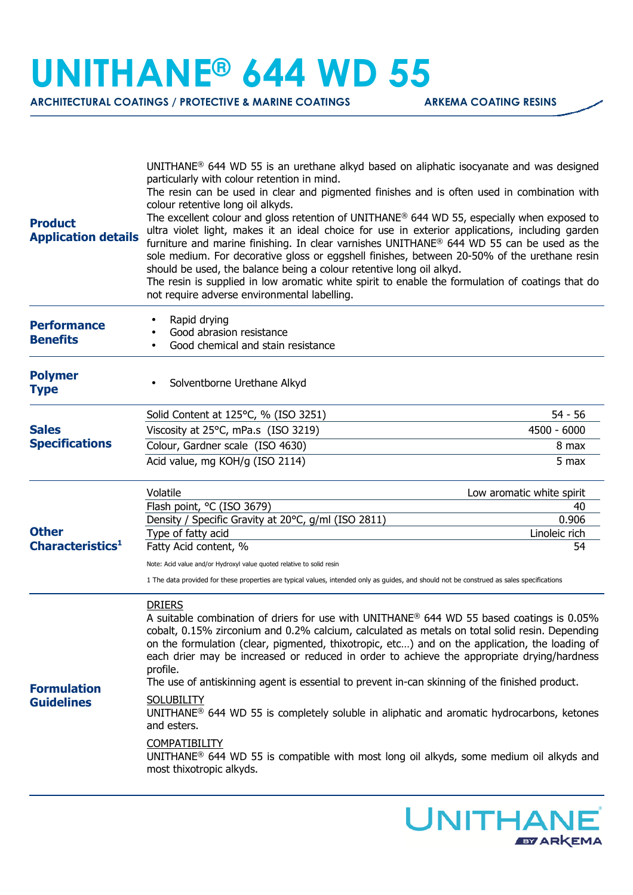## **UNITHANE® 644 WD 55**

**ARCHITECTURAL COATINGS / PROTECTIVE & MARINE COATINGS ARKEMA COATING RESINS** 

| <b>Product</b><br><b>Application details</b> | UNITHANE® 644 WD 55 is an urethane alkyd based on aliphatic isocyanate and was designed<br>particularly with colour retention in mind.<br>The resin can be used in clear and pigmented finishes and is often used in combination with<br>colour retentive long oil alkyds.<br>The excellent colour and gloss retention of UNITHANE <sup>®</sup> 644 WD 55, especially when exposed to<br>ultra violet light, makes it an ideal choice for use in exterior applications, including garden<br>furniture and marine finishing. In clear varnishes UNITHANE <sup>®</sup> 644 WD 55 can be used as the<br>sole medium. For decorative gloss or eggshell finishes, between 20-50% of the urethane resin<br>should be used, the balance being a colour retentive long oil alkyd.<br>The resin is supplied in low aromatic white spirit to enable the formulation of coatings that do<br>not require adverse environmental labelling. |                           |
|----------------------------------------------|-------------------------------------------------------------------------------------------------------------------------------------------------------------------------------------------------------------------------------------------------------------------------------------------------------------------------------------------------------------------------------------------------------------------------------------------------------------------------------------------------------------------------------------------------------------------------------------------------------------------------------------------------------------------------------------------------------------------------------------------------------------------------------------------------------------------------------------------------------------------------------------------------------------------------------|---------------------------|
| <b>Performance</b><br><b>Benefits</b>        | Rapid drying<br>Good abrasion resistance<br>Good chemical and stain resistance                                                                                                                                                                                                                                                                                                                                                                                                                                                                                                                                                                                                                                                                                                                                                                                                                                                |                           |
| <b>Polymer</b><br><b>Type</b>                | Solventborne Urethane Alkyd                                                                                                                                                                                                                                                                                                                                                                                                                                                                                                                                                                                                                                                                                                                                                                                                                                                                                                   |                           |
| <b>Sales</b><br><b>Specifications</b>        | Solid Content at 125°C, % (ISO 3251)                                                                                                                                                                                                                                                                                                                                                                                                                                                                                                                                                                                                                                                                                                                                                                                                                                                                                          | $54 - 56$                 |
|                                              | Viscosity at 25°C, mPa.s (ISO 3219)                                                                                                                                                                                                                                                                                                                                                                                                                                                                                                                                                                                                                                                                                                                                                                                                                                                                                           | 4500 - 6000               |
|                                              | Colour, Gardner scale (ISO 4630)                                                                                                                                                                                                                                                                                                                                                                                                                                                                                                                                                                                                                                                                                                                                                                                                                                                                                              | 8 max                     |
|                                              | Acid value, mg KOH/g (ISO 2114)                                                                                                                                                                                                                                                                                                                                                                                                                                                                                                                                                                                                                                                                                                                                                                                                                                                                                               | 5 max                     |
| <b>Other</b>                                 | Volatile                                                                                                                                                                                                                                                                                                                                                                                                                                                                                                                                                                                                                                                                                                                                                                                                                                                                                                                      | Low aromatic white spirit |
|                                              | Flash point, °C (ISO 3679)                                                                                                                                                                                                                                                                                                                                                                                                                                                                                                                                                                                                                                                                                                                                                                                                                                                                                                    | 40                        |
|                                              | Density / Specific Gravity at 20°C, g/ml (ISO 2811)<br>Type of fatty acid                                                                                                                                                                                                                                                                                                                                                                                                                                                                                                                                                                                                                                                                                                                                                                                                                                                     | 0.906<br>Linoleic rich    |
| Characteristics <sup>1</sup>                 | Fatty Acid content, %                                                                                                                                                                                                                                                                                                                                                                                                                                                                                                                                                                                                                                                                                                                                                                                                                                                                                                         | 54                        |
|                                              | Note: Acid value and/or Hydroxyl value quoted relative to solid resin                                                                                                                                                                                                                                                                                                                                                                                                                                                                                                                                                                                                                                                                                                                                                                                                                                                         |                           |
|                                              | 1 The data provided for these properties are typical values, intended only as guides, and should not be construed as sales specifications                                                                                                                                                                                                                                                                                                                                                                                                                                                                                                                                                                                                                                                                                                                                                                                     |                           |
| <b>Formulation</b><br><b>Guidelines</b>      | <b>DRIERS</b><br>A suitable combination of driers for use with UNITHANE® 644 WD 55 based coatings is 0.05%<br>cobalt, 0.15% zirconium and 0.2% calcium, calculated as metals on total solid resin. Depending<br>on the formulation (clear, pigmented, thixotropic, etc) and on the application, the loading of<br>each drier may be increased or reduced in order to achieve the appropriate drying/hardness<br>profile.<br>The use of antiskinning agent is essential to prevent in-can skinning of the finished product.<br><b>SOLUBILITY</b><br>UNITHANE <sup>®</sup> 644 WD 55 is completely soluble in aliphatic and aromatic hydrocarbons, ketones<br>and esters.<br><b>COMPATIBILITY</b><br>UNITHANE <sup>®</sup> 644 WD 55 is compatible with most long oil alkyds, some medium oil alkyds and<br>most thixotropic alkyds.                                                                                            |                           |